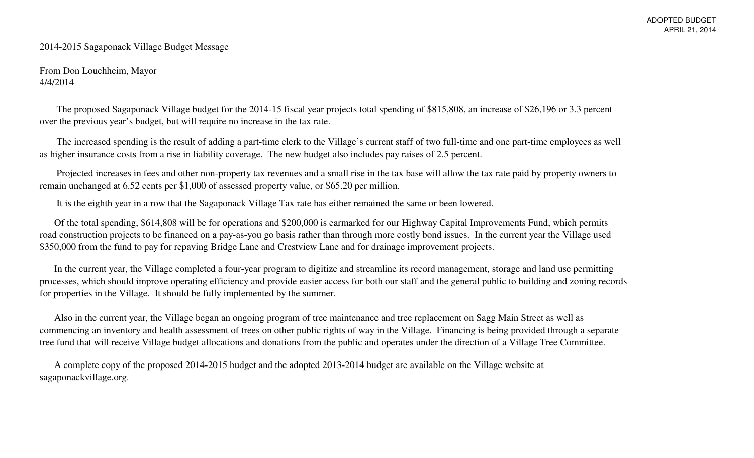#### 2014-2015 Sagaponack Village Budget Message

From Don Louchheim, Mayor4/4/2014

 The proposed Sagaponack Village budget for the 2014-15 fiscal year projects total spending of \$815,808, an increase of \$26,196 or 3.3 percent over the previous year's budget, but will require no increase in the tax rate.

 The increased spending is the result of adding a part-time clerk to the Village's current staff of two full-time and one part-time employees as well as higher insurance costs from a rise in liability coverage. The new budget also includes pay raises of 2.5 percent.

 Projected increases in fees and other non-property tax revenues and a small rise in the tax base will allow the tax rate paid by property owners to remain unchanged at 6.52 cents per \$1,000 of assessed property value, or \$65.20 per million.

It is the eighth year in a row that the Sagaponack Village Tax rate has either remained the same or been lowered.

 Of the total spending, \$614,808 will be for operations and \$200,000 is earmarked for our Highway Capital Improvements Fund, which permits road construction projects to be financed on a pay-as-you go basis rather than through more costly bond issues. In the current year the Village used \$350,000 from the fund to pay for repaving Bridge Lane and Crestview Lane and for drainage improvement projects.

 In the current year, the Village completed a four-year program to digitize and streamline its record management, storage and land use permitting processes, which should improve operating efficiency and provide easier access for both our staff and the general public to building and zoning records for properties in the Village. It should be fully implemented by the summer.

 Also in the current year, the Village began an ongoing program of tree maintenance and tree replacement on Sagg Main Street as well as commencing an inventory and health assessment of trees on other public rights of way in the Village. Financing is being provided through a separate tree fund that will receive Village budget allocations and donations from the public and operates under the direction of a Village Tree Committee.

 A complete copy of the proposed 2014-2015 budget and the adopted 2013-2014 budget are available on the Village website at sagaponackvillage.org.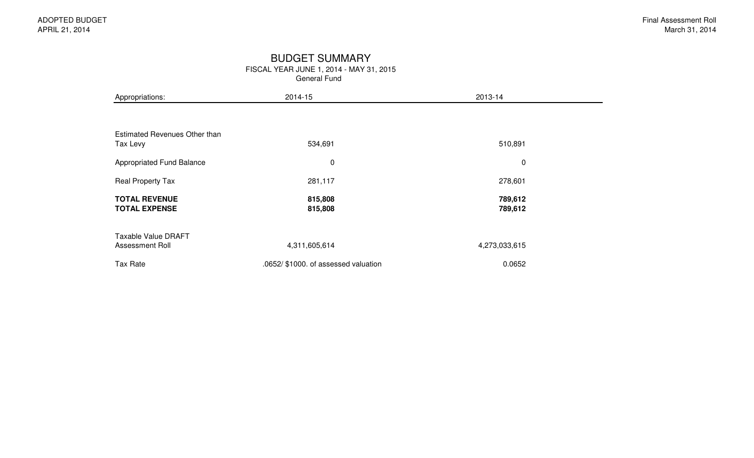#### BUDGET SUMMARY

General Fund

| Appropriations:                               | 2014-15                              | 2013-14            |  |
|-----------------------------------------------|--------------------------------------|--------------------|--|
|                                               |                                      |                    |  |
| Estimated Revenues Other than<br>Tax Levy     | 534,691                              | 510,891            |  |
| <b>Appropriated Fund Balance</b>              | 0                                    | $\pmb{0}$          |  |
| Real Property Tax                             | 281,117                              | 278,601            |  |
| <b>TOTAL REVENUE</b><br><b>TOTAL EXPENSE</b>  | 815,808<br>815,808                   | 789,612<br>789,612 |  |
| <b>Taxable Value DRAFT</b><br>Assessment Roll | 4,311,605,614                        | 4,273,033,615      |  |
| Tax Rate                                      | .0652/ \$1000. of assessed valuation | 0.0652             |  |

FISCAL YEAR JUNE 1, 2014 - MAY 31, 2015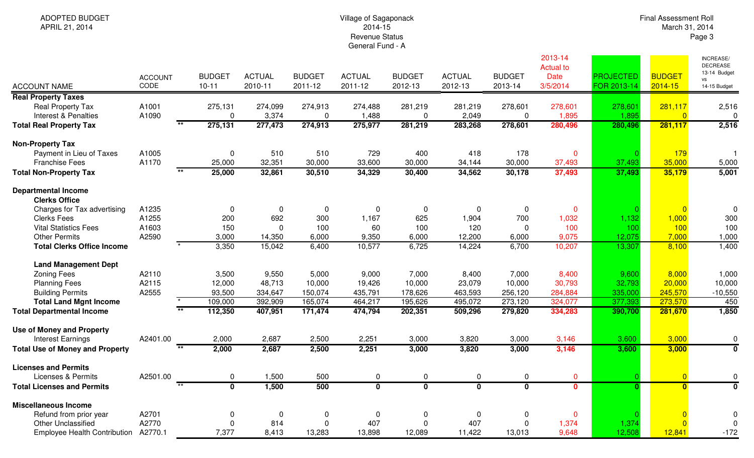| ADOPTED BUDGET |
|----------------|
|                |
| APRIL 21, 2014 |

# Village of Sagaponack 2014-15 Revenue StatusGeneral Fund - A

Final Assessment RollMarch 31, 2014 Page 3

|                                                    |                        |                            |                          |                          |                          |                          |                          |                          | 2013-14<br><b>Actual to</b> |                                 |                              | INCREASE/<br><b>DECREASE</b><br>13-14 Budget |
|----------------------------------------------------|------------------------|----------------------------|--------------------------|--------------------------|--------------------------|--------------------------|--------------------------|--------------------------|-----------------------------|---------------------------------|------------------------------|----------------------------------------------|
| <b>ACCOUNT NAME</b>                                | <b>ACCOUNT</b><br>CODE | <b>BUDGET</b><br>$10 - 11$ | <b>ACTUAL</b><br>2010-11 | <b>BUDGET</b><br>2011-12 | <b>ACTUAL</b><br>2011-12 | <b>BUDGET</b><br>2012-13 | <b>ACTUAL</b><br>2012-13 | <b>BUDGET</b><br>2013-14 | <b>Date</b><br>3/5/2014     | <b>PROJECTED</b><br>FOR 2013-14 | <b>BUDGET</b><br>$2014 - 15$ | <b>VS</b><br>14-15 Budget                    |
| <b>Real Property Taxes</b>                         |                        |                            |                          |                          |                          |                          |                          |                          |                             |                                 |                              |                                              |
| Real Property Tax                                  | A1001                  | 275,131                    | 274,099                  | 274,913                  | 274,488                  | 281,219                  | 281,219                  | 278,601                  | 278,601                     | 278,601                         | 281,117                      | 2,516                                        |
| Interest & Penalties                               | A1090                  | $\Omega$                   | 3,374                    | $\mathbf 0$              | 1,488                    | $\mathbf 0$              | 2,049                    | $\mathbf 0$              | 1,895                       | 1,895                           | $\Omega$                     | 0                                            |
| <b>Total Real Property Tax</b>                     |                        | 275,131                    | 277,473                  | 274,913                  | 275,977                  | 281,219                  | 283,268                  | 278,601                  | 280,496                     | 280,496                         | 281,117                      | 2,516                                        |
| <b>Non-Property Tax</b>                            |                        |                            |                          |                          |                          |                          |                          |                          |                             |                                 |                              |                                              |
| Payment in Lieu of Taxes                           | A1005                  | $\mathbf 0$                | 510                      | 510                      | 729                      | 400                      | 418                      | 178                      | $\mathbf 0$                 |                                 | 179                          | - 1                                          |
| <b>Franchise Fees</b>                              | A1170                  | 25,000                     | 32,351                   | 30,000                   | 33,600                   | 30,000                   | 34,144                   | 30,000                   | 37,493                      | 37,493                          | 35,000                       | 5,000                                        |
| <b>Total Non-Property Tax</b>                      | $\overline{\ast\ast}$  | 25,000                     | 32,861                   | 30,510                   | 34,329                   | 30,400                   | 34,562                   | 30,178                   | 37,493                      | 37,493                          | 35,179                       | 5,001                                        |
| <b>Departmental Income</b><br><b>Clerks Office</b> |                        |                            |                          |                          |                          |                          |                          |                          |                             |                                 |                              |                                              |
| Charges for Tax advertising                        | A1235                  | 0                          | 0                        | 0                        | $\mathbf 0$              | 0                        | 0                        | 0                        | $\mathbf{0}$                |                                 | $\overline{0}$               | $\Omega$                                     |
| <b>Clerks Fees</b>                                 | A1255                  | 200                        | 692                      | 300                      | 1,167                    | 625                      | 1,904                    | 700                      | 1,032                       | 1,132                           | 1,000                        | 300                                          |
| <b>Vital Statistics Fees</b>                       | A1603                  | 150                        | $\mathbf{0}$             | 100                      | 60                       | 100                      | 120                      | $\Omega$                 | 100                         | 100                             | 100                          | 100                                          |
| <b>Other Permits</b>                               | A2590                  | 3,000                      | 14,350                   | 6,000                    | 9,350                    | 6,000                    | 12,200                   | 6,000                    | 9,075                       | 12,075                          | 7,000                        | 1,000                                        |
| <b>Total Clerks Office Income</b>                  |                        | 3,350                      | 15,042                   | 6,400                    | 10,577                   | 6,725                    | 14,224                   | 6,700                    | 10,207                      | 13,307                          | 8,100                        | 1,400                                        |
| <b>Land Management Dept</b>                        |                        |                            |                          |                          |                          |                          |                          |                          |                             |                                 |                              |                                              |
| <b>Zoning Fees</b>                                 | A2110                  | 3,500                      | 9,550                    | 5,000                    | 9,000                    | 7,000                    | 8,400                    | 7,000                    | 8,400                       | 9,600                           | 8,000                        | 1,000                                        |
| <b>Planning Fees</b>                               | A2115                  | 12,000                     | 48,713                   | 10,000                   | 19,426                   | 10,000                   | 23,079                   | 10,000                   | 30,793                      | 32,793                          | 20,000                       | 10,000                                       |
| <b>Building Permits</b>                            | A2555                  | 93,500                     | 334,647                  | 150,074                  | 435,791                  | 178,626                  | 463,593                  | 256,120                  | 284,884                     | 335,000                         | 245,570                      | $-10,550$                                    |
| <b>Total Land Mgnt Income</b>                      |                        | 109,000                    | 392,909                  | 165,074                  | 464,217                  | 195,626                  | 495,072                  | 273,120                  | 324,077                     | 377,393                         | 273,570                      | 450                                          |
| <b>Total Departmental Income</b>                   |                        | 112,350                    | 407,951                  | 171,474                  | 474,794                  | 202,351                  | 509,296                  | 279,820                  | 334,283                     | 390,700                         | 281,670                      | 1,850                                        |
| <b>Use of Money and Property</b>                   |                        |                            |                          |                          |                          |                          |                          |                          |                             |                                 |                              |                                              |
| <b>Interest Earnings</b>                           | A2401.00               | 2,000                      | 2,687                    | 2,500                    | 2,251                    | 3,000                    | 3,820                    | 3,000                    | 3,146                       | 3,600                           | 3,000                        | $\mathbf 0$                                  |
| <b>Total Use of Money and Property</b>             | $\overline{**}$        | 2,000                      | 2,687                    | 2,500                    | 2,251                    | 3,000                    | 3,820                    | 3,000                    | 3,146                       | 3,600                           | 3,000                        | $\overline{\mathfrak{o}}$                    |
| <b>Licenses and Permits</b>                        |                        |                            |                          |                          |                          |                          |                          |                          |                             |                                 |                              |                                              |
| Licenses & Permits                                 | A2501.00               | $\mathbf{0}$               | 1,500                    | 500                      | $\mathbf 0$              | $\mathbf 0$              | 0                        | $\mathbf 0$              | $\mathbf{0}$                |                                 | $\overline{0}$               | $\pmb{0}$                                    |
| <b>Total Licenses and Permits</b>                  | $***$                  | $\mathbf 0$                | 1,500                    | 500                      | $\mathbf{0}$             | $\overline{\mathbf{0}}$  | $\overline{\mathbf{0}}$  | $\overline{\mathbf{0}}$  | $\overline{\mathbf{0}}$     | $\mathbf{0}$                    | $\mathbf{0}$                 | $\overline{\mathbf{0}}$                      |
| <b>Miscellaneous Income</b>                        |                        |                            |                          |                          |                          |                          |                          |                          |                             |                                 |                              |                                              |
| Refund from prior year                             | A2701                  | 0                          | $\mathbf 0$              | 0                        | $\mathbf 0$              | $\mathbf 0$              | 0                        | 0                        | $\mathbf{0}$                |                                 | $\Omega$                     | $\Omega$                                     |
| <b>Other Unclassified</b>                          | A2770                  |                            | 814                      | $\overline{0}$           | 407                      | $\Omega$                 | 407                      | $\Omega$                 | 1,374                       | 1,374                           | $\Omega$                     | $\mathbf 0$                                  |
| <b>Employee Health Contribution</b>                | A2770.1                | 7,377                      | 8,413                    | 13,283                   | 13,898                   | 12,089                   | 11,422                   | 13,013                   | 9,648                       | 12,508                          | 12,841                       | $-172$                                       |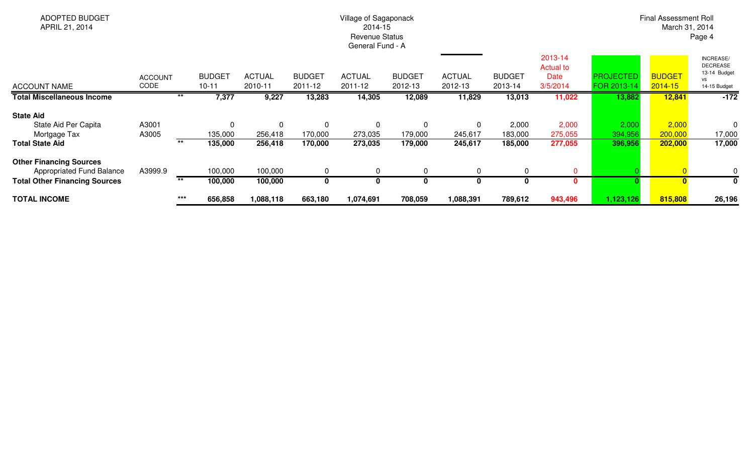| <b>ADOPTED BUDGET</b><br>APRIL 21, 2014                                                             |                        | Village of Sagaponack<br>2014-15<br><b>Revenue Status</b><br>General Fund - A |                                |                          |                          |                                   |                                   |                                    |                             |                                                 |                                 |                              | Final Assessment Roll<br>March 31, 2014<br>Page 4                         |  |  |  |
|-----------------------------------------------------------------------------------------------------|------------------------|-------------------------------------------------------------------------------|--------------------------------|--------------------------|--------------------------|-----------------------------------|-----------------------------------|------------------------------------|-----------------------------|-------------------------------------------------|---------------------------------|------------------------------|---------------------------------------------------------------------------|--|--|--|
| <b>ACCOUNT NAME</b>                                                                                 | <b>ACCOUNT</b><br>CODE |                                                                               | <b>BUDGET</b><br>$10 - 11$     | <b>ACTUAL</b><br>2010-11 | <b>BUDGET</b><br>2011-12 | <b>ACTUAL</b><br>2011-12          | <b>BUDGET</b><br>2012-13          | <b>ACTUAL</b><br>2012-13           | <b>BUDGET</b><br>2013-14    | 2013-14<br><b>Actual to</b><br>Date<br>3/5/2014 | <b>PROJECTED</b><br>FOR 2013-14 | <b>BUDGET</b><br>$2014 - 15$ | INCREASE/<br><b>DECREASE</b><br>13-14 Budget<br><b>VS</b><br>14-15 Budget |  |  |  |
| <b>Total Miscellaneous Income</b>                                                                   |                        |                                                                               | 7,377                          | 9,227                    | 13,283                   | 14,305                            | 12,089                            | 11,829                             | 13,013                      | 11,022                                          | 13,882                          | 12,841                       | $-172$                                                                    |  |  |  |
| <b>State Aid</b><br>State Aid Per Capita<br>Mortgage Tax<br><b>Total State Aid</b>                  | A3001<br>A3005         | $***$                                                                         | $\Omega$<br>135,000<br>135,000 | 256,418<br>256,418       | 0<br>170,000<br>170,000  | $\mathbf 0$<br>273,035<br>273,035 | $\mathbf 0$<br>179,000<br>179,000 | $\mathbf{0}$<br>245,617<br>245,617 | 2,000<br>183,000<br>185,000 | 2,000<br>275,055<br>277,055                     | 2,000<br>394,956<br>396,956     | 2,000<br>200,000<br>202,000  | $\mathbf 0$<br>17,000<br>17,000                                           |  |  |  |
| <b>Other Financing Sources</b><br>Appropriated Fund Balance<br><b>Total Other Financing Sources</b> | A3999.9                | $***$                                                                         | 100,000<br>100,000             | 100,000<br>100,000       | $\Omega$<br>0            | $\mathbf{0}$                      | $\Omega$<br>$\bf{0}$              | 0                                  |                             |                                                 |                                 |                              | 0<br>0                                                                    |  |  |  |
| <b>TOTAL INCOME</b>                                                                                 |                        | $***$                                                                         | 656,858                        | 1,088,118                | 663,180                  | 1,074,691                         | 708,059                           | 1,088,391                          | 789,612                     | 943,496                                         | 1,123,126                       | 815,808                      | 26,196                                                                    |  |  |  |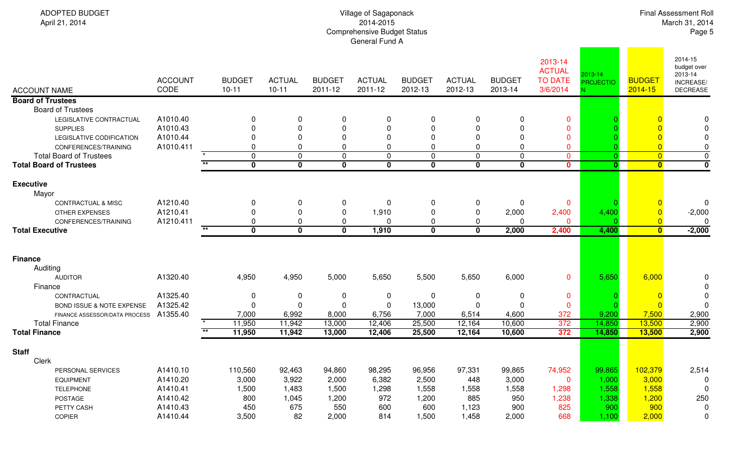| April 21, 2014                                                                                                             |                                               |       |                                    |                                |                          | 2014-2015<br><b>Comprehensive Budget Status</b><br>General Fund A |                           |                          |                          |                                                        |                             |                          | March 31, 2014<br>Page 5                                   |
|----------------------------------------------------------------------------------------------------------------------------|-----------------------------------------------|-------|------------------------------------|--------------------------------|--------------------------|-------------------------------------------------------------------|---------------------------|--------------------------|--------------------------|--------------------------------------------------------|-----------------------------|--------------------------|------------------------------------------------------------|
| <b>ACCOUNT NAME</b>                                                                                                        | <b>ACCOUNT</b><br>CODE                        |       | <b>BUDGET</b><br>$10 - 11$         | <b>ACTUAL</b><br>$10 - 11$     | <b>BUDGET</b><br>2011-12 | <b>ACTUAL</b><br>2011-12                                          | <b>BUDGET</b><br>2012-13  | <b>ACTUAL</b><br>2012-13 | <b>BUDGET</b><br>2013-14 | 2013-14<br><b>ACTUAL</b><br><b>TO DATE</b><br>3/6/2014 | 2013-14<br><b>PROJECTIO</b> | <b>BUDGET</b><br>2014-15 | 2014-15<br>budget over<br>2013-14<br>INCREASE/<br>DECREASE |
| <b>Board of Trustees</b>                                                                                                   |                                               |       |                                    |                                |                          |                                                                   |                           |                          |                          |                                                        |                             |                          |                                                            |
| <b>Board of Trustees</b><br>LEGISLATIVE CONTRACTUAL<br><b>SUPPLIES</b><br>LEGISLATIVE CODIFICATION<br>CONFERENCES/TRAINING | A1010.40<br>A1010.43<br>A1010.44<br>A1010.411 |       | 0<br><sup>0</sup><br>0<br>$\Omega$ | 0<br>$\Omega$<br>$\Omega$<br>0 | 0<br>0<br>0<br>0         | 0<br>$\Omega$<br>$\Omega$<br>0                                    | 0<br>$\Omega$<br>$\Omega$ | 0<br>∩<br>$\Omega$<br>0  | 0                        | $\mathbf 0$<br>$\Omega$<br>$\mathbf 0$<br>$\mathbf 0$  |                             |                          | 0<br>0<br>0                                                |
| <b>Total Board of Trustees</b>                                                                                             |                                               |       | $\mathbf 0$                        | $\mathbf 0$                    | 0                        | $\pmb{0}$                                                         | 0                         | $\mathbf 0$              | $\pmb{0}$                | $\mathbf 0$                                            | $\Omega$                    | $\overline{0}$           | 0                                                          |
| <b>Total Board of Trustees</b>                                                                                             |                                               |       | $\mathbf 0$                        | $\bf{0}$                       | $\mathbf 0$              | $\mathbf{0}$                                                      | $\bf{0}$                  | $\mathbf 0$              | $\mathbf 0$              | $\mathbf{0}$                                           | $\mathbf{0}$                | $\mathbf{0}$             | $\overline{\mathbf{0}}$                                    |
| <b>Executive</b><br>Mayor                                                                                                  |                                               |       |                                    |                                |                          |                                                                   |                           |                          |                          |                                                        |                             |                          |                                                            |
| <b>CONTRACTUAL &amp; MISC</b>                                                                                              | A1210.40                                      |       | 0                                  | $\mathbf 0$                    | $\mathbf 0$              | 0                                                                 | 0                         | $\boldsymbol{0}$         | 0                        | $\mathbf 0$                                            |                             |                          | 0                                                          |
| OTHER EXPENSES                                                                                                             | A1210.41                                      |       | 0                                  | 0                              | 0                        | 1,910                                                             | 0                         | 0                        | 2,000                    | 2,400                                                  | 4,400                       |                          | $-2,000$                                                   |
| CONFERENCES/TRAINING<br><b>Total Executive</b>                                                                             | A1210.411                                     |       | 0<br>$\mathbf 0$                   | 0<br>$\mathbf 0$               | 0<br>$\mathbf{0}$        | 0<br>1,910                                                        | 0<br>$\mathbf 0$          | 0<br>$\bf{0}$            | 0<br>2,000               | $\mathbf{0}$<br>2,400                                  | 4,400                       | $\mathbf{0}$             | $\Omega$<br>$-2,000$                                       |
|                                                                                                                            |                                               |       |                                    |                                |                          |                                                                   |                           |                          |                          |                                                        |                             |                          |                                                            |
|                                                                                                                            |                                               |       |                                    |                                |                          |                                                                   |                           |                          |                          |                                                        |                             |                          |                                                            |
| <b>Finance</b><br>Auditing                                                                                                 |                                               |       |                                    |                                |                          |                                                                   |                           |                          |                          |                                                        |                             |                          |                                                            |
| <b>AUDITOR</b><br>Finance                                                                                                  | A1320.40                                      |       | 4,950                              | 4,950                          | 5,000                    | 5,650                                                             | 5,500                     | 5,650                    | 6,000                    | $\mathbf 0$                                            | 5,650                       | 6,000                    | 0<br>0                                                     |
| CONTRACTUAL                                                                                                                | A1325.40                                      |       | 0                                  | 0                              | 0                        | $\mathbf 0$                                                       | 0                         | 0                        | 0                        | $\mathbf{0}$                                           |                             |                          | 0                                                          |
| BOND ISSUE & NOTE EXPENSE                                                                                                  | A1325.42                                      |       | $\Omega$                           | 0                              | 0                        | $\boldsymbol{0}$                                                  | 13,000                    | -0                       |                          | $\mathbf 0$                                            |                             |                          | $\mathbf{0}$                                               |
| FINANCE ASSESSOR/DATA PROCESS                                                                                              | A1355.40                                      |       | 7,000                              | 6,992                          | 8,000                    | 6,756                                                             | 7,000                     | 6,514                    | 4,600                    | 372                                                    | 9,200                       | 7,500                    | 2,900                                                      |
| <b>Total Finance</b>                                                                                                       |                                               | $***$ | 11,950                             | 11,942                         | 13,000                   | 12,406                                                            | 25,500                    | 12,164                   | 10,600                   | 372                                                    | 14,850                      | 13,500                   | 2,900                                                      |
| <b>Total Finance</b>                                                                                                       |                                               |       | 11,950                             | 11,942                         | 13,000                   | 12,406                                                            | 25,500                    | 12,164                   | 10,600                   | 372                                                    | 14,850                      | 13,500                   | 2,900                                                      |
| <b>Staff</b><br>Clerk                                                                                                      |                                               |       |                                    |                                |                          |                                                                   |                           |                          |                          |                                                        |                             |                          |                                                            |
| PERSONAL SERVICES                                                                                                          | A1410.10                                      |       | 110,560                            | 92,463                         | 94,860                   | 98,295                                                            | 96,956                    | 97,331                   | 99,865                   | 74,952                                                 | 99,865                      | 102,379                  | 2,514                                                      |
| <b>EQUIPMENT</b>                                                                                                           | A1410.20                                      |       | 3,000                              | 3,922                          | 2,000                    | 6,382                                                             | 2,500                     | 448                      | 3,000                    | $\mathbf{0}$                                           | 1,000                       | 3,000                    | 0                                                          |
| <b>TELEPHONE</b>                                                                                                           | A1410.41                                      |       | 1,500                              | 1,483                          | 1,500                    | 1,298                                                             | 1,558                     | 1,558                    | 1,558                    | 1,298                                                  | 1,558                       | 1,558                    | $\mathbf 0$                                                |
| POSTAGE                                                                                                                    | A1410.42                                      |       | 800                                | 1,045                          | 1,200                    | 972                                                               | 1,200                     | 885                      | 950                      | 1,238<br>825                                           | 1,338                       | 1,200<br>900             | 250                                                        |
| PETTY CASH<br>COPIER                                                                                                       | A1410.43<br>A1410.44                          |       | 450<br>3,500                       | 675<br>82                      | 550<br>2,000             | 600<br>814                                                        | 600<br>1,500              | 1,123<br>1,458           | 900<br>2,000             | 668                                                    | 900<br>1,100                | 2,000                    | 0<br>0                                                     |
|                                                                                                                            |                                               |       |                                    |                                |                          |                                                                   |                           |                          |                          |                                                        |                             |                          |                                                            |

Village of Sagaponack

Final Assessment Roll

ADOPTED BUDGET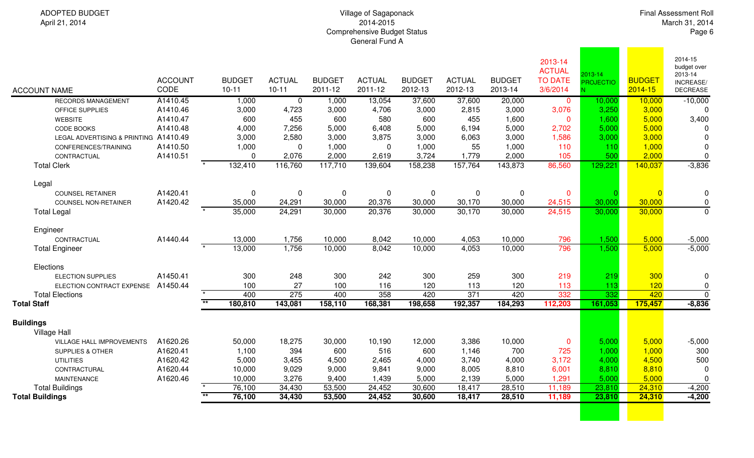## Village of Sagaponack 2014-2015Comprehensive Budget Status General Fund A

| <b>ACCOUNT NAME</b>                                 | <b>ACCOUNT</b><br>CODE | <b>BUDGET</b><br>$10 - 11$ | <b>ACTUAL</b><br>$10 - 11$ | <b>BUDGET</b><br>2011-12 | <b>ACTUAL</b><br>2011-12 | <b>BUDGET</b><br>2012-13 | <b>ACTUAL</b><br>2012-13 | <b>BUDGET</b><br>2013-14 | 2013-14<br><b>ACTUAL</b><br><b>TO DATE</b><br>3/6/2014 | 2013-14<br><b>PROJECTIO</b> | <b>BUDGET</b><br>2014-15 | 2014-15<br>budget over<br>2013-14<br>INCREASE/<br><b>DECREASE</b> |
|-----------------------------------------------------|------------------------|----------------------------|----------------------------|--------------------------|--------------------------|--------------------------|--------------------------|--------------------------|--------------------------------------------------------|-----------------------------|--------------------------|-------------------------------------------------------------------|
| <b>RECORDS MANAGEMENT</b>                           | A1410.45               | 1,000                      | $\overline{0}$             | 1,000                    | 13,054                   | 37,600                   | 37,600                   | 20,000                   | $\mathbf 0$                                            | 10,000                      | 10,000                   | $-10,000$                                                         |
| OFFICE SUPPLIES                                     | A1410.46               | 3,000                      | 4,723                      | 3,000                    | 4,706                    | 3,000                    | 2,815                    | 3,000                    | 3,076                                                  | 3,250                       | 3,000                    | $\Omega$                                                          |
| <b>WEBSITE</b>                                      | A1410.47               | 600                        | 455                        | 600                      | 580                      | 600                      | 455                      | 1,600                    | $\mathbf{0}$                                           | 1,600                       | 5,000                    | 3,400                                                             |
| <b>CODE BOOKS</b>                                   | A1410.48               | 4,000                      | 7,256                      | 5,000                    | 6,408                    | 5,000                    | 6,194                    | 5,000                    | 2,702                                                  | 5,000                       | 5,000                    | <sup>0</sup>                                                      |
| LEGAL ADVERTISING & PRINTING A1410.49               |                        | 3,000                      | 2,580                      | 3,000                    | 3,875                    | 3,000                    | 6,063                    | 3,000                    | 1,586                                                  | 3,000                       | 3,000                    | $\Omega$                                                          |
| CONFERENCES/TRAINING                                | A1410.50               | 1,000                      | $\Omega$                   | 1,000                    | 0                        | 1,000                    | 55                       | 1,000                    | 110                                                    | 110                         | 1,000                    | 0                                                                 |
| CONTRACTUAL                                         | A1410.51               | $\Omega$                   | 2,076                      | 2,000                    | 2,619                    | 3,724                    | 1,779                    | 2,000                    | 105                                                    | 500                         | 2,000                    | $\pmb{0}$                                                         |
| <b>Total Clerk</b>                                  |                        | 132,410                    | 116,760                    | 117,710                  | 139,604                  | 158,238                  | 157,764                  | 143,873                  | 86,560                                                 | 129,221                     | 140,037                  | $-3,836$                                                          |
| Legal                                               |                        |                            |                            |                          |                          |                          |                          |                          |                                                        |                             |                          |                                                                   |
| <b>COUNSEL RETAINER</b>                             | A1420.41               | $\mathbf 0$                | $\mathbf 0$                | 0                        | $\mathbf 0$              | 0                        | 0                        | $\pmb{0}$                | $\mathbf 0$                                            |                             | $\overline{0}$           | $\mathbf 0$                                                       |
| <b>COUNSEL NON-RETAINER</b>                         | A1420.42               | 35,000                     | 24,291                     | 30,000                   | 20,376                   | 30,000                   | 30,170                   | 30,000                   | 24,515                                                 | 30,000                      | 30,000                   | $\mathbf 0$                                                       |
| <b>Total Legal</b>                                  |                        | 35,000                     | 24,291                     | 30,000                   | 20,376                   | 30,000                   | 30,170                   | 30,000                   | 24,515                                                 | 30,000                      | 30,000                   | $\mathbf 0$                                                       |
| Engineer                                            |                        |                            |                            |                          |                          |                          |                          |                          |                                                        |                             |                          |                                                                   |
| CONTRACTUAL                                         | A1440.44               | 13,000                     | 1,756                      | 10,000                   | 8,042                    | 10,000                   | 4,053                    | 10,000                   | 796                                                    | 1,500                       | 5,000                    | $-5,000$                                                          |
| <b>Total Engineer</b>                               |                        | 13,000                     | 1,756                      | 10,000                   | 8,042                    | 10,000                   | 4,053                    | 10,000                   | 796                                                    | 1,500                       | 5,000                    | $-5,000$                                                          |
|                                                     |                        |                            |                            |                          |                          |                          |                          |                          |                                                        |                             |                          |                                                                   |
| Elections                                           |                        |                            |                            |                          |                          |                          |                          |                          |                                                        |                             |                          |                                                                   |
| <b>ELECTION SUPPLIES</b>                            | A1450.41               | 300                        | 248                        | 300                      | 242                      | 300                      | 259                      | 300                      | 219                                                    | 219                         | 300                      | 0                                                                 |
| ELECTION CONTRACT EXPENSE<br><b>Total Elections</b> | A1450.44               | 100<br>400                 | 27<br>275                  | 100<br>400               | 116<br>358               | 120<br>420               | 113<br>371               | 120<br>420               | 113<br>332                                             | 113<br>332                  | 120<br>420               | 0<br>$\mathbf{0}$                                                 |
| <b>Total Staff</b>                                  |                        | $\overline{**}$<br>180,810 | 143,081                    | 158,110                  | 168,381                  | 198,658                  | 192,357                  | 184,293                  | 112,203                                                | 161,053                     | 175,457                  | $-8,836$                                                          |
|                                                     |                        |                            |                            |                          |                          |                          |                          |                          |                                                        |                             |                          |                                                                   |
| <b>Buildings</b><br><b>Village Hall</b>             |                        |                            |                            |                          |                          |                          |                          |                          |                                                        |                             |                          |                                                                   |
| VILLAGE HALL IMPROVEMENTS                           | A1620.26               | 50,000                     | 18,275                     | 30,000                   | 10,190                   | 12,000                   | 3,386                    | 10,000                   | $\mathbf 0$                                            | 5,000                       | 5,000                    | $-5,000$                                                          |
| <b>SUPPLIES &amp; OTHER</b>                         | A1620.41               | 1,100                      | 394                        | 600                      | 516                      | 600                      | 1,146                    | 700                      | 725                                                    | 1,000                       | 1,000                    | 300                                                               |
| <b>UTILITIES</b>                                    | A1620.42               | 5,000                      | 3,455                      | 4,500                    | 2,465                    | 4,000                    | 3,740                    | 4,000                    | 3,172                                                  | 4,000                       | 4,500                    | 500                                                               |
| CONTRACTURAL                                        | A1620.44               | 10,000                     | 9,029                      | 9,000                    | 9,841                    | 9,000                    | 8,005                    | 8,810                    | 6,001                                                  | 8,810                       | 8,810                    | 0                                                                 |
| <b>MAINTENANCE</b>                                  | A1620.46               | 10,000                     | 3,276                      | 9,400                    | 1,439                    | 5,000                    | 2,139                    | 5,000                    | 1,291                                                  | 5,000                       | 5,000                    | $\pmb{0}$                                                         |
| <b>Total Buildings</b>                              |                        | 76,100                     | 34,430                     | 53,500                   | 24,452                   | 30,600                   | 18,417                   | 28,510                   | 11,189                                                 | 23,810                      | 24,310                   | $-4,200$                                                          |
| <b>Total Buildings</b>                              |                        | $*$<br>76,100              | 34,430                     | 53,500                   | 24,452                   | 30,600                   | 18,417                   | 28,510                   | 11,189                                                 | 23,810                      | 24,310                   | $-4,200$                                                          |
|                                                     |                        |                            |                            |                          |                          |                          |                          |                          |                                                        |                             |                          |                                                                   |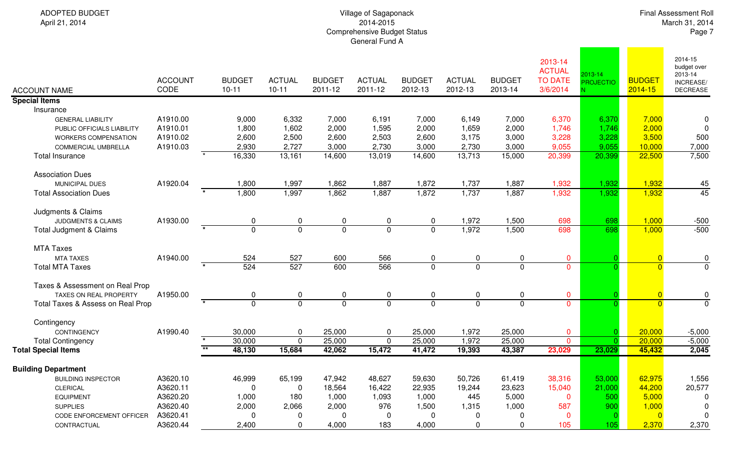#### Village of Sagaponack 2014-2015Comprehensive Budget Status General Fund A

| <b>ACCOUNT NAME</b>               | <b>ACCOUNT</b><br>CODE | <b>BUDGET</b><br>$10 - 11$ | <b>ACTUAL</b><br>$10 - 11$       | <b>BUDGET</b><br>2011-12 | <b>ACTUAL</b><br>2011-12 | <b>BUDGET</b><br>2012-13 | <b>ACTUAL</b><br>2012-13 | <b>BUDGET</b><br>2013-14 | 2013-14<br><b>ACTUAL</b><br><b>TO DATE</b><br>3/6/2014 | 2013-14<br><b>PROJECTIO</b> | <b>BUDGET</b><br>$2014 - 15$ | 2014-15<br>budget over<br>2013-14<br><b>INCREASE/</b><br><b>DECREASE</b> |
|-----------------------------------|------------------------|----------------------------|----------------------------------|--------------------------|--------------------------|--------------------------|--------------------------|--------------------------|--------------------------------------------------------|-----------------------------|------------------------------|--------------------------------------------------------------------------|
| <b>Special Items</b>              |                        |                            |                                  |                          |                          |                          |                          |                          |                                                        |                             |                              |                                                                          |
| Insurance                         |                        |                            |                                  |                          |                          |                          |                          |                          |                                                        |                             |                              |                                                                          |
| <b>GENERAL LIABILITY</b>          | A1910.00               | 9,000                      | 6,332                            | 7,000                    | 6,191                    | 7,000                    | 6,149                    | 7,000                    | 6,370                                                  | 6,370                       | 7,000                        | $\mathbf 0$                                                              |
| PUBLIC OFFICIALS LIABILITY        | A1910.01               | 1,800                      | 1,602                            | 2,000                    | 1,595                    | 2,000                    | 1,659                    | 2,000                    | 1,746                                                  | 1,746                       | 2,000                        | $\mathbf 0$                                                              |
| <b>WORKERS COMPENSATION</b>       | A1910.02               | 2,600                      | 2,500                            | 2,600                    | 2,503                    | 2,600                    | 3,175                    | 3,000                    | 3,228                                                  | 3,228                       | 3,500                        | 500                                                                      |
| COMMERCIAL UMBRELLA               | A1910.03               | 2,930                      | 2,727                            | 3,000                    | 2,730                    | 3,000                    | 2,730                    | 3,000                    | 9,055                                                  | 9,055                       | 10,000                       | 7,000                                                                    |
| <b>Total Insurance</b>            |                        | 16,330                     | 13,161                           | 14,600                   | 13,019                   | 14,600                   | 13,713                   | 15,000                   | 20,399                                                 | 20,399                      | 22,500                       | 7,500                                                                    |
| <b>Association Dues</b>           |                        |                            |                                  |                          |                          |                          |                          |                          |                                                        |                             |                              |                                                                          |
| MUNICIPAL DUES                    | A1920.04               | 1,800                      | 1,997                            | 1,862                    | 1,887                    | 1,872                    | 1,737                    | 1,887                    | 1,932                                                  | 1,932                       | 1,932                        | 45                                                                       |
| <b>Total Association Dues</b>     |                        | 1,800                      | 1,997                            | 1,862                    | 1,887                    | 1,872                    | 1,737                    | 1,887                    | 1,932                                                  | 1,932                       | 1,932                        | 45                                                                       |
| Judgments & Claims                |                        |                            |                                  |                          |                          |                          |                          |                          |                                                        |                             |                              |                                                                          |
| <b>JUDGMENTS &amp; CLAIMS</b>     | A1930.00               |                            | 0<br>0                           | 0                        | 0                        | $\mathbf 0$              | 1,972                    | 1,500                    | 698                                                    | 698                         | 1,000                        | $-500$                                                                   |
| Total Judgment & Claims           |                        |                            | $\overline{0}$<br>$\overline{0}$ | $\overline{0}$           | $\overline{0}$           | $\overline{0}$           | 1,972                    | 1,500                    | 698                                                    | 698                         | 1,000                        | $-500$                                                                   |
| <b>MTA Taxes</b>                  |                        |                            |                                  |                          |                          |                          |                          |                          |                                                        |                             |                              |                                                                          |
| <b>MTA TAXES</b>                  | A1940.00               | 524                        | 527                              | 600                      | 566                      | $\mathbf 0$              | 0                        | 0                        | $\mathbf{0}$                                           |                             |                              | $\pmb{0}$                                                                |
| <b>Total MTA Taxes</b>            |                        | 524                        | 527                              | 600                      | 566                      | $\overline{0}$           | $\overline{0}$           | $\overline{0}$           | $\overline{0}$                                         |                             | $\Omega$                     | $\overline{0}$                                                           |
| Taxes & Assessment on Real Prop   |                        |                            |                                  |                          |                          |                          |                          |                          |                                                        |                             |                              |                                                                          |
| <b>TAXES ON REAL PROPERTY</b>     | A1950.00               |                            | 0<br>0                           | 0                        | 0                        | 0                        | 0                        | 0                        | $\mathbf 0$                                            |                             | $\Omega$                     |                                                                          |
| Total Taxes & Assess on Real Prop |                        |                            | $\overline{0}$<br>$\overline{0}$ | $\mathbf 0$              | $\overline{0}$           | $\mathbf{0}$             | $\mathbf 0$              | $\overline{0}$           | $\overline{0}$                                         |                             | $\Omega$                     | $\frac{0}{0}$                                                            |
|                                   |                        |                            |                                  |                          |                          |                          |                          |                          |                                                        |                             |                              |                                                                          |
| Contingency                       |                        |                            |                                  |                          |                          |                          |                          |                          |                                                        |                             |                              |                                                                          |
| CONTINGENCY                       | A1990.40               | 30,000                     | 0                                | 25,000                   | 0                        | 25,000                   | 1,972                    | 25,000                   | $\mathbf 0$                                            | $\Omega$                    | 20,000                       | $-5,000$                                                                 |
| <b>Total Contingency</b>          |                        | 30,000                     | $\mathbf 0$                      | 25,000                   | 0                        | 25,000                   | 1,972                    | 25,000                   | $\overline{0}$                                         | O.                          | 20,000                       | $-5,000$                                                                 |
| <b>Total Special Items</b>        |                        | $**$<br>48,130             | 15,684                           | 42,062                   | 15,472                   | 41,472                   | 19,393                   | 43,387                   | 23,029                                                 | 23,029                      | 45,432                       | 2,045                                                                    |
| <b>Building Department</b>        |                        |                            |                                  |                          |                          |                          |                          |                          |                                                        |                             |                              |                                                                          |
| <b>BUILDING INSPECTOR</b>         | A3620.10               | 46,999                     | 65,199                           | 47,942                   | 48,627                   | 59,630                   | 50,726                   | 61,419                   | 38,316                                                 | 53,000                      | 62,975                       | 1,556                                                                    |
| <b>CLERICAL</b>                   | A3620.11               |                            | 0<br>$\Omega$                    | 18,564                   | 16,422                   | 22,935                   | 19,244                   | 23,623                   | 15,040                                                 | 21,000                      | 44,200                       | 20,577                                                                   |
| <b>EQUIPMENT</b>                  | A3620.20               | 1,000                      | 180                              | 1,000                    | 1,093                    | 1,000                    | 445                      | 5,000                    | $\mathbf 0$                                            | 500                         | 5,000                        | 0                                                                        |
| <b>SUPPLIES</b>                   | A3620.40               | 2,000                      | 2,066                            | 2,000                    | 976                      | 1,500                    | 1,315                    | 1,000                    | 587                                                    | 900                         | 1,000                        | $\mathbf 0$                                                              |
| CODE ENFORCEMENT OFFICER          | A3620.41               |                            | $\Omega$<br>0                    | 0                        | 0                        | $\Omega$                 | 0                        | 0                        | $\mathbf{0}$                                           |                             | $\Omega$                     | $\mathbf 0$                                                              |
| CONTRACTUAL                       | A3620.44               | 2,400                      | 0                                | 4,000                    | 183                      | 4,000                    | 0                        | 0                        | 105                                                    | 105                         | 2,370                        | 2,370                                                                    |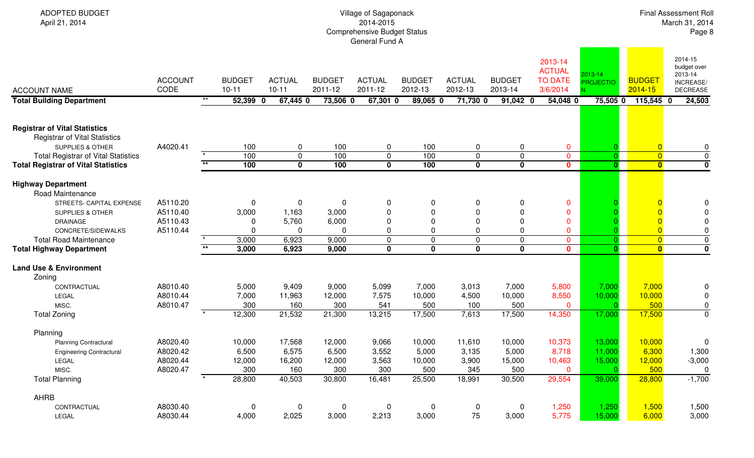| <b>ADOPTED BUDGET</b><br>April 21, 2014                                                                                                                                                                                      | Village of Sagaponack<br>2014-2015<br><b>Comprehensive Budget Status</b><br>General Fund A |                            |                                            |                                                   |                                            |                                                                   |                                                            |                                                              |                                                        |                                                                                   |                                                  |                                                             | <b>Final Assessment Roll</b><br>March 31, 2014<br>Page 8      |  |  |
|------------------------------------------------------------------------------------------------------------------------------------------------------------------------------------------------------------------------------|--------------------------------------------------------------------------------------------|----------------------------|--------------------------------------------|---------------------------------------------------|--------------------------------------------|-------------------------------------------------------------------|------------------------------------------------------------|--------------------------------------------------------------|--------------------------------------------------------|-----------------------------------------------------------------------------------|--------------------------------------------------|-------------------------------------------------------------|---------------------------------------------------------------|--|--|
| <b>ACCOUNT NAME</b>                                                                                                                                                                                                          | <b>ACCOUNT</b><br>CODE                                                                     | <b>BUDGET</b><br>$10 - 11$ |                                            | <b>ACTUAL</b><br>$10 - 11$                        | <b>BUDGET</b><br>2011-12                   | <b>ACTUAL</b><br>2011-12                                          | <b>BUDGET</b><br>2012-13                                   | <b>ACTUAL</b><br>2012-13                                     | <b>BUDGET</b><br>2013-14                               | 2013-14<br><b>ACTUAL</b><br><b>TO DATE</b><br>3/6/2014                            | 2013-14<br><b>PROJECTIO</b>                      | <b>BUDGET</b><br>2014-15                                    | 2014-15<br>budget over<br>2013-14<br>INCREASE/<br>DECREASE    |  |  |
| <b>Total Building Department</b>                                                                                                                                                                                             |                                                                                            | $***$                      | 52,399 0                                   | 67,445 0                                          | 73,506 0                                   | $67,301$ 0                                                        | 89,065 0                                                   | 71,730 0                                                     | $91,042$ 0                                             | 54,048 0                                                                          | $75,505$ 0                                       | $115,545$ 0                                                 | 24,503                                                        |  |  |
| <b>Registrar of Vital Statistics</b><br><b>Registrar of Vital Statistics</b><br><b>SUPPLIES &amp; OTHER</b>                                                                                                                  | A4020.41                                                                                   |                            | 100                                        | $\pmb{0}$                                         | 100                                        | 0                                                                 | 100                                                        | 0                                                            | 0                                                      | 0                                                                                 |                                                  | $\overline{0}$                                              | 0                                                             |  |  |
| <b>Total Registrar of Vital Statistics</b><br><b>Total Registrar of Vital Statistics</b>                                                                                                                                     |                                                                                            | $**$                       | 100<br>100                                 | $\pmb{0}$<br>$\mathbf 0$                          | 100<br>100                                 | $\pmb{0}$<br>$\mathbf 0$                                          | 100<br>100                                                 | $\mathbf 0$<br>0                                             | $\mathbf 0$<br>$\mathbf 0$                             | $\overline{0}$<br>$\mathbf{0}$                                                    | $\Omega$<br>$\overline{\mathbf{0}}$              | $\overline{0}$<br>$\overline{\mathbf{0}}$                   | $\pmb{0}$<br>$\overline{\mathbf{0}}$                          |  |  |
| <b>Highway Department</b><br><b>Road Maintenance</b><br>STREETS- CAPITAL EXPENSE<br><b>SUPPLIES &amp; OTHER</b><br><b>DRAINAGE</b><br>CONCRETE/SIDEWALKS<br><b>Total Road Maintenance</b><br><b>Total Highway Department</b> | A5110.20<br>A5110.40<br>A5110.43<br>A5110.44                                               | $\star\star$               | 0<br>3,000<br>$\Omega$<br>3,000<br>3,000   | 0<br>1,163<br>5,760<br>$\Omega$<br>6,923<br>6,923 | 0<br>3,000<br>6,000<br>0<br>9,000<br>9,000 | 0<br>$\Omega$<br>$\Omega$<br>$\Omega$<br>$\pmb{0}$<br>$\mathbf 0$ | 0<br>$\mathbf{0}$<br>$\mathbf{0}$<br>0<br>0<br>$\mathbf 0$ | 0<br>0<br>$\Omega$<br>$\Omega$<br>$\mathbf 0$<br>$\mathbf 0$ | 0<br>0<br>$\pmb{0}$<br>0<br>$\mathbf 0$<br>$\mathbf 0$ | 0<br>$\mathbf{0}$<br>$\mathbf{0}$<br>$\mathbf{0}$<br>$\mathbf{0}$<br>$\mathbf{0}$ | $\overline{0}$<br>$\mathbf{0}$                   | $\overline{0}$<br>$\overline{0}$<br>$\overline{\mathbf{0}}$ | 0<br>0<br>0<br>0<br>$\overline{0}$<br>$\overline{\mathbf{0}}$ |  |  |
| <b>Land Use &amp; Environment</b><br>Zoning<br>CONTRACTUAL<br>LEGAL<br>MISC.<br><b>Total Zoning</b>                                                                                                                          | A8010.40<br>A8010.44<br>A8010.47                                                           |                            | 5,000<br>7,000<br>300<br>12,300            | 9,409<br>11,963<br>160<br>21,532                  | 9,000<br>12,000<br>300<br>21,300           | 5,099<br>7,575<br>541<br>13,215                                   | 7,000<br>10,000<br>500<br>17,500                           | 3,013<br>4,500<br>100<br>7,613                               | 7,000<br>10,000<br>500<br>17,500                       | 5,800<br>8,550<br>$\mathbf 0$<br>14,350                                           | 7,000<br>10,000<br>17,000                        | 7,000<br>10,000<br>500<br>17,500                            | 0<br>0<br>0<br>0                                              |  |  |
| Planning<br><b>Planning Contractural</b><br><b>Engineering Contractural</b><br>LEGAL<br>MISC.<br><b>Total Planning</b>                                                                                                       | A8020.40<br>A8020.42<br>A8020.44<br>A8020.47                                               | $\star$                    | 10,000<br>6,500<br>12,000<br>300<br>28,800 | 17,568<br>6,575<br>16,200<br>160<br>40,503        | 12,000<br>6,500<br>12,000<br>300<br>30,800 | 9,066<br>3,552<br>3,563<br>300<br>16,481                          | 10,000<br>5,000<br>10,000<br>500<br>25,500                 | 11,610<br>3,135<br>3,900<br>345<br>18,991                    | 10,000<br>5,000<br>15,000<br>500<br>30,500             | 10,373<br>8,718<br>10,463<br>$\mathbf 0$<br>29,554                                | 13,000<br>11,000<br>15,000<br>$\Omega$<br>39,000 | 10,000<br>6,300<br>12,000<br>500<br>28,800                  | 0<br>1,300<br>$-3,000$<br>$\mathbf 0$<br>$-1,700$             |  |  |
| <b>AHRB</b><br>CONTRACTUAL<br>LEGAL                                                                                                                                                                                          | A8030.40<br>A8030.44                                                                       |                            | $\mathbf 0$<br>4,000                       | $\mathbf 0$<br>2,025                              | $\mathbf 0$<br>3,000                       | $\overline{0}$<br>2,213                                           | $\overline{0}$<br>3,000                                    | 0<br>75                                                      | $\overline{0}$<br>3,000                                | 1,250<br>5,775                                                                    | 1,250<br>15,000                                  | 1,500<br>6,000                                              | 1,500<br>3,000                                                |  |  |